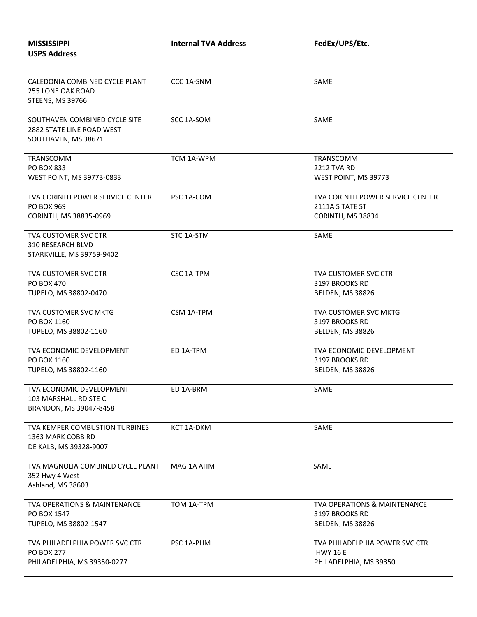| <b>MISSISSIPPI</b><br><b>USPS Address</b>                                             | <b>Internal TVA Address</b> | FedEx/UPS/Etc.                                                              |
|---------------------------------------------------------------------------------------|-----------------------------|-----------------------------------------------------------------------------|
|                                                                                       |                             |                                                                             |
| CALEDONIA COMBINED CYCLE PLANT<br><b>255 LONE OAK ROAD</b><br><b>STEENS, MS 39766</b> | CCC 1A-SNM                  | SAME                                                                        |
| SOUTHAVEN COMBINED CYCLE SITE<br>2882 STATE LINE ROAD WEST<br>SOUTHAVEN, MS 38671     | SCC 1A-SOM                  | SAME                                                                        |
| TRANSCOMM<br>PO BOX 833<br>WEST POINT, MS 39773-0833                                  | TCM 1A-WPM                  | <b>TRANSCOMM</b><br>2212 TVA RD<br>WEST POINT, MS 39773                     |
| TVA CORINTH POWER SERVICE CENTER<br><b>PO BOX 969</b><br>CORINTH, MS 38835-0969       | PSC 1A-COM                  | TVA CORINTH POWER SERVICE CENTER<br>2111A S TATE ST<br>CORINTH, MS 38834    |
| TVA CUSTOMER SVC CTR<br><b>310 RESEARCH BLVD</b><br>STARKVILLE, MS 39759-9402         | STC 1A-STM                  | SAME                                                                        |
| TVA CUSTOMER SVC CTR<br>PO BOX 470<br>TUPELO, MS 38802-0470                           | CSC 1A-TPM                  | TVA CUSTOMER SVC CTR<br>3197 BROOKS RD<br>BELDEN, MS 38826                  |
| TVA CUSTOMER SVC MKTG<br>PO BOX 1160<br>TUPELO, MS 38802-1160                         | CSM 1A-TPM                  | <b>TVA CUSTOMER SVC MKTG</b><br>3197 BROOKS RD<br>BELDEN, MS 38826          |
| TVA ECONOMIC DEVELOPMENT<br>PO BOX 1160<br>TUPELO, MS 38802-1160                      | ED 1A-TPM                   | TVA ECONOMIC DEVELOPMENT<br>3197 BROOKS RD<br>BELDEN, MS 38826              |
| TVA ECONOMIC DEVELOPMENT<br>103 MARSHALL RD STE C<br>BRANDON, MS 39047-8458           | ED 1A-BRM                   | SAME                                                                        |
| TVA KEMPER COMBUSTION TURBINES<br>1363 MARK COBB RD<br>DE KALB, MS 39328-9007         | KCT 1A-DKM                  | SAME                                                                        |
| TVA MAGNOLIA COMBINED CYCLE PLANT<br>352 Hwy 4 West<br>Ashland, MS 38603              | MAG 1A AHM                  | SAME                                                                        |
| TVA OPERATIONS & MAINTENANCE<br>PO BOX 1547<br>TUPELO, MS 38802-1547                  | TOM 1A-TPM                  | TVA OPERATIONS & MAINTENANCE<br>3197 BROOKS RD<br>BELDEN, MS 38826          |
| TVA PHILADELPHIA POWER SVC CTR<br><b>PO BOX 277</b><br>PHILADELPHIA, MS 39350-0277    | PSC 1A-PHM                  | TVA PHILADELPHIA POWER SVC CTR<br><b>HWY 16 E</b><br>PHILADELPHIA, MS 39350 |